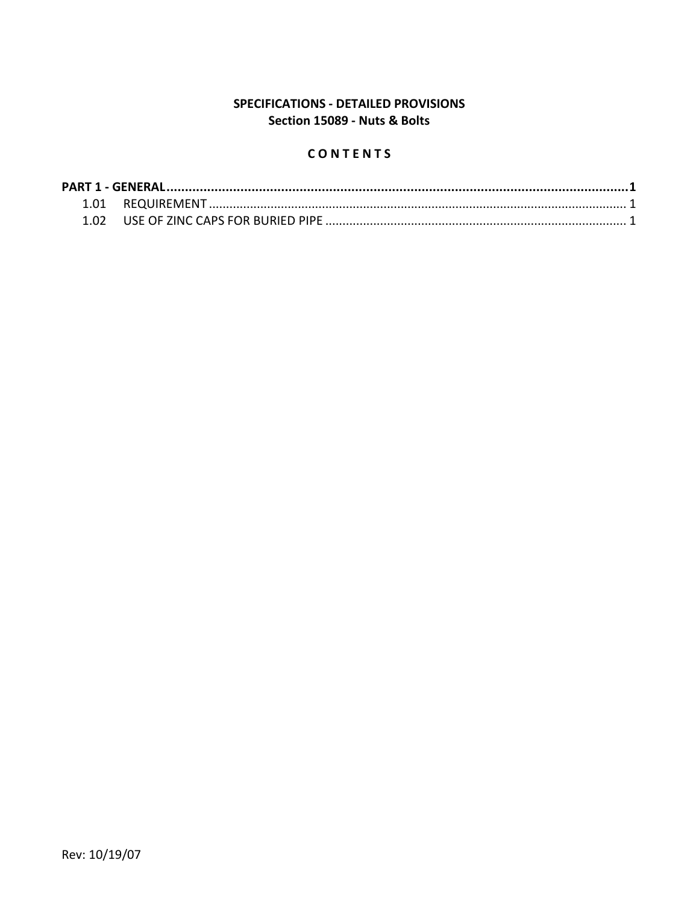## SPECIFICATIONS - DETAILED PROVISIONS Section 15089 - Nuts & Bolts

# CONTENTS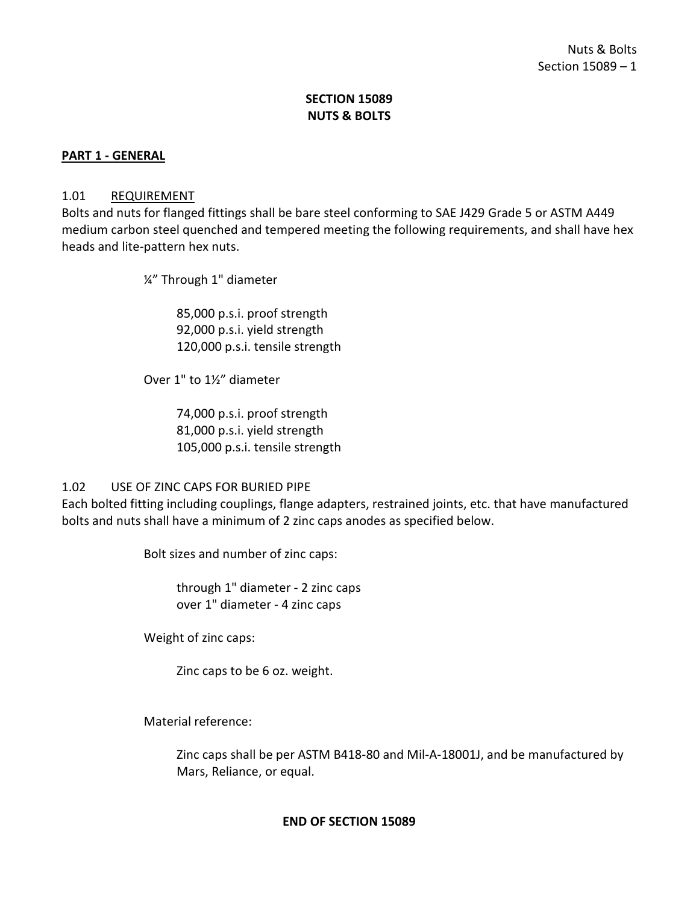## **SECTION 15089 NUTS & BOLTS**

#### <span id="page-2-0"></span>**PART 1 - GENERAL**

#### <span id="page-2-1"></span>1.01 REQUIREMENT

Bolts and nuts for flanged fittings shall be bare steel conforming to SAE J429 Grade 5 or ASTM A449 medium carbon steel quenched and tempered meeting the following requirements, and shall have hex heads and lite-pattern hex nuts.

¼" Through 1" diameter

85,000 p.s.i. proof strength 92,000 p.s.i. yield strength 120,000 p.s.i. tensile strength

Over 1" to 1½" diameter

74,000 p.s.i. proof strength 81,000 p.s.i. yield strength 105,000 p.s.i. tensile strength

### <span id="page-2-2"></span>1.02 USE OF ZINC CAPS FOR BURIED PIPE

Each bolted fitting including couplings, flange adapters, restrained joints, etc. that have manufactured bolts and nuts shall have a minimum of 2 zinc caps anodes as specified below.

Bolt sizes and number of zinc caps:

through 1" diameter - 2 zinc caps over 1" diameter - 4 zinc caps

Weight of zinc caps:

Zinc caps to be 6 oz. weight.

Material reference:

Zinc caps shall be per ASTM B418-80 and Mil-A-18001J, and be manufactured by Mars, Reliance, or equal.

#### **END OF SECTION 15089**